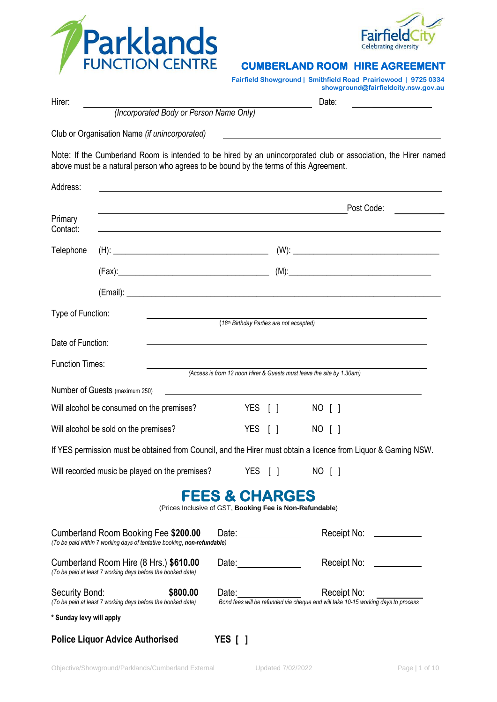



### **CUMBERLAND ROOM HIRE AGREEMENT**

| <b>Fairfield Showground   Smithfield Road Prairiewood   9725 0334</b> |  |  |  |
|-----------------------------------------------------------------------|--|--|--|
|-----------------------------------------------------------------------|--|--|--|

| Hirer:                                |                                                                                                                  |                                                                                                                                    | showground@fairfieldcity.nsw.gov.au<br>Date:                                                                                                |  |
|---------------------------------------|------------------------------------------------------------------------------------------------------------------|------------------------------------------------------------------------------------------------------------------------------------|---------------------------------------------------------------------------------------------------------------------------------------------|--|
|                                       | (Incorporated Body or Person Name Only)                                                                          |                                                                                                                                    |                                                                                                                                             |  |
|                                       | Club or Organisation Name (if unincorporated)                                                                    |                                                                                                                                    | <u> 1989 - Johann John Stein, markin fan de Amerikaansk kommunister (</u>                                                                   |  |
|                                       | above must be a natural person who agrees to be bound by the terms of this Agreement.                            |                                                                                                                                    | Note: If the Cumberland Room is intended to be hired by an unincorporated club or association, the Hirer named                              |  |
| Address:                              |                                                                                                                  |                                                                                                                                    |                                                                                                                                             |  |
|                                       |                                                                                                                  | Post Code:<br><u> 1989 - Andrea Santa Alemania, amerikana amerikana amerikana amerikana amerikana amerikana amerikana amerikan</u> |                                                                                                                                             |  |
| Primary<br>Contact:                   | and the control of the control of the control of the control of the control of the control of the control of the |                                                                                                                                    |                                                                                                                                             |  |
| Telephone                             |                                                                                                                  |                                                                                                                                    |                                                                                                                                             |  |
|                                       |                                                                                                                  |                                                                                                                                    |                                                                                                                                             |  |
|                                       |                                                                                                                  |                                                                                                                                    |                                                                                                                                             |  |
| Type of Function:                     |                                                                                                                  | (18 <sup>th</sup> Birthday Parties are not accepted)                                                                               |                                                                                                                                             |  |
| Date of Function:                     |                                                                                                                  |                                                                                                                                    |                                                                                                                                             |  |
|                                       |                                                                                                                  |                                                                                                                                    |                                                                                                                                             |  |
| <b>Function Times:</b>                |                                                                                                                  |                                                                                                                                    | (Access is from 12 noon Hirer & Guests must leave the site by 1.30am)                                                                       |  |
|                                       | Number of Guests (maximum 250)                                                                                   |                                                                                                                                    |                                                                                                                                             |  |
|                                       | Will alcohol be consumed on the premises?                                                                        | YES [ ]                                                                                                                            | NO [ ]                                                                                                                                      |  |
| Will alcohol be sold on the premises? |                                                                                                                  | YES [ ]                                                                                                                            | NO [ ]                                                                                                                                      |  |
|                                       |                                                                                                                  |                                                                                                                                    | If YES permission must be obtained from Council, and the Hirer must obtain a licence from Liquor & Gaming NSW.                              |  |
|                                       | Will recorded music be played on the premises?                                                                   | YES [ ]                                                                                                                            | NO [ ]                                                                                                                                      |  |
|                                       |                                                                                                                  | <b>FEES &amp; CHARGES</b><br>(Prices Inclusive of GST, Booking Fee is Non-Refundable)                                              |                                                                                                                                             |  |
|                                       | Cumberland Room Booking Fee \$200.00<br>(To be paid within 7 working days of tentative booking, non-refundable)  | Date: <u>_______________</u>                                                                                                       | Receipt No: ____________                                                                                                                    |  |
|                                       | Cumberland Room Hire (8 Hrs.) \$610.00<br>(To be paid at least 7 working days before the booked date)            | Date:                                                                                                                              | Receipt No: ___________                                                                                                                     |  |
| Security Bond:                        | \$800.00<br>(To be paid at least 7 working days before the booked date)                                          |                                                                                                                                    | Date: <u>Date:</u> Receipt No: Receipt Social Exercement Spand fees will be refunded via cheque and will take 10-15 working days to process |  |
| * Sunday levy will apply              |                                                                                                                  |                                                                                                                                    |                                                                                                                                             |  |

**Police Liquor Advice Authorised YES [ ]**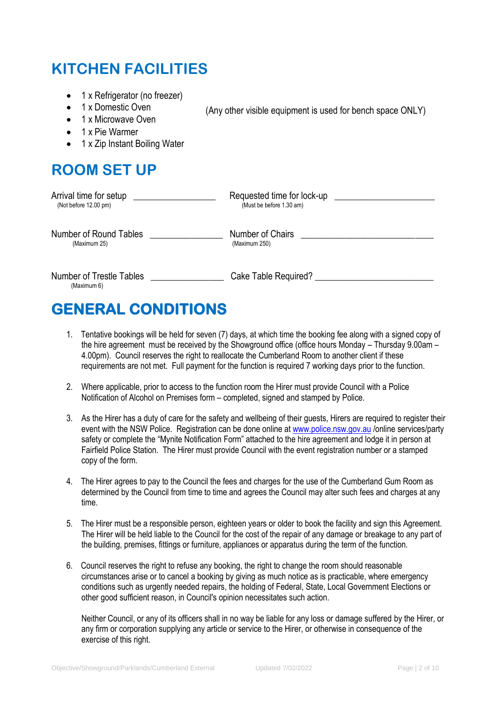# **KITCHEN FACILITIES**

- 1 x Refrigerator (no freezer)
- 1 x Domestic Oven
- 1 x Microwave Oven
- 1 x Pie Warmer
- 1 x Zip Instant Boiling Water

# **ROOM SET UP**

| Arrival time for setup                         | Requested time for lock-up |
|------------------------------------------------|----------------------------|
| (Not before $12.00 \text{ pm}$ )               | (Must be before 1.30 am)   |
| Number of Round Tables                         | Number of Chairs           |
| (Maximum 25)                                   | (Maximum 250)              |
| <b>Number of Trestle Tables</b><br>(Maximum 6) | Cake Table Required?       |

(Any other visible equipment is used for bench space ONLY)

# **GENERAL CONDITIONS**

- 1. Tentative bookings will be held for seven (7) days, at which time the booking fee along with a signed copy of the hire agreement must be received by the Showground office (office hours Monday – Thursday 9.00am – 4.00pm). Council reserves the right to reallocate the Cumberland Room to another client if these requirements are not met. Full payment for the function is required 7 working days prior to the function.
- 2. Where applicable, prior to access to the function room the Hirer must provide Council with a Police Notification of Alcohol on Premises form – completed, signed and stamped by Police.
- 3. As the Hirer has a duty of care for the safety and wellbeing of their guests, Hirers are required to register their event with the NSW Police. Registration can be done online a[t www.police.nsw.gov.au](http://www.police.nsw.gov.au/) /online services/party safety or complete the "Mynite Notification Form" attached to the hire agreement and lodge it in person at Fairfield Police Station. The Hirer must provide Council with the event registration number or a stamped copy of the form.
- 4. The Hirer agrees to pay to the Council the fees and charges for the use of the Cumberland Gum Room as determined by the Council from time to time and agrees the Council may alter such fees and charges at any time.
- 5. The Hirer must be a responsible person, eighteen years or older to book the facility and sign this Agreement. The Hirer will be held liable to the Council for the cost of the repair of any damage or breakage to any part of the building, premises, fittings or furniture, appliances or apparatus during the term of the function.
- 6. Council reserves the right to refuse any booking, the right to change the room should reasonable circumstances arise or to cancel a booking by giving as much notice as is practicable, where emergency conditions such as urgently needed repairs, the holding of Federal, State, Local Government Elections or other good sufficient reason, in Council's opinion necessitates such action.

Neither Council, or any of its officers shall in no way be liable for any loss or damage suffered by the Hirer, or any firm or corporation supplying any article or service to the Hirer, or otherwise in consequence of the exercise of this right.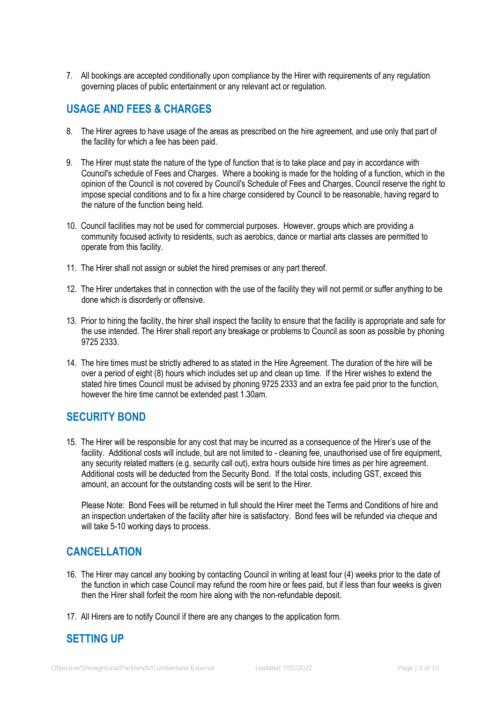7. All bookings are accepted conditionally upon compliance by the Hirer with requirements of any regulation governing places of public entertainment or any relevant act or regulation.

### **USAGE AND FEES & CHARGES**

- 8. The Hirer agrees to have usage of the areas as prescribed on the hire agreement, and use only that part of the facility for which a fee has been paid.
- 9. The Hirer must state the nature of the type of function that is to take place and pay in accordance with Council's schedule of Fees and Charges. Where a booking is made for the holding of a function, which in the opinion of the Council is not covered by Council's Schedule of Fees and Charges, Council reserve the right to impose special conditions and to fix a hire charge considered by Council to be reasonable, having regard to the nature of the function being held.
- 10. Council facilities may not be used for commercial purposes. However, groups which are providing a community focused activity to residents, such as aerobics, dance or martial arts classes are permitted to operate from this facility.
- 11. The Hirer shall not assign or sublet the hired premises or any part thereof.
- 12. The Hirer undertakes that in connection with the use of the facility they will not permit or suffer anything to be done which is disorderly or offensive.
- 13. Prior to hiring the facility, the hirer shall inspect the facility to ensure that the facility is appropriate and safe for the use intended. The Hirer shall report any breakage or problems to Council as soon as possible by phoning 9725 2333.
- 14. The hire times must be strictly adhered to as stated in the Hire Agreement. The duration of the hire will be over a period of eight (8) hours which includes set up and clean up time. If the Hirer wishes to extend the stated hire times Council must be advised by phoning 9725 2333 and an extra fee paid prior to the function, however the hire time cannot be extended past 1.30am.

### **SECURITY BOND**

15. The Hirer will be responsible for any cost that may be incurred as a consequence of the Hirer's use of the facility. Additional costs will include, but are not limited to - cleaning fee, unauthorised use of fire equipment, any security related matters (e.g. security call out), extra hours outside hire times as per hire agreement. Additional costs will be deducted from the Security Bond. If the total costs, including GST, exceed this amount, an account for the outstanding costs will be sent to the Hirer.

Please Note: Bond Fees will be returned in full should the Hirer meet the Terms and Conditions of hire and an inspection undertaken of the facility after hire is satisfactory. Bond fees will be refunded via cheque and will take 5-10 working days to process.

### **CANCELLATION**

- 16. The Hirer may cancel any booking by contacting Council in writing at least four (4) weeks prior to the date of the function in which case Council may refund the room hire or fees paid, but if less than four weeks is given then the Hirer shall forfeit the room hire along with the non-refundable deposit.
- 17. All Hirers are to notify Council if there are any changes to the application form.

## **SETTING UP**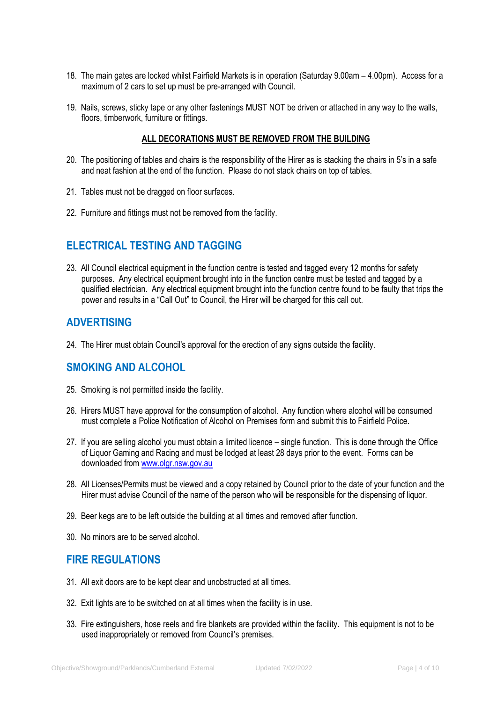- 18. The main gates are locked whilst Fairfield Markets is in operation (Saturday 9.00am 4.00pm). Access for a maximum of 2 cars to set up must be pre-arranged with Council.
- 19. Nails, screws, sticky tape or any other fastenings MUST NOT be driven or attached in any way to the walls, floors, timberwork, furniture or fittings.

#### **ALL DECORATIONS MUST BE REMOVED FROM THE BUILDING**

- 20. The positioning of tables and chairs is the responsibility of the Hirer as is stacking the chairs in 5's in a safe and neat fashion at the end of the function. Please do not stack chairs on top of tables.
- 21. Tables must not be dragged on floor surfaces.
- 22. Furniture and fittings must not be removed from the facility.

### **ELECTRICAL TESTING AND TAGGING**

23. All Council electrical equipment in the function centre is tested and tagged every 12 months for safety purposes. Any electrical equipment brought into in the function centre must be tested and tagged by a qualified electrician. Any electrical equipment brought into the function centre found to be faulty that trips the power and results in a "Call Out" to Council, the Hirer will be charged for this call out.

### **ADVERTISING**

24. The Hirer must obtain Council's approval for the erection of any signs outside the facility.

### **SMOKING AND ALCOHOL**

- 25. Smoking is not permitted inside the facility.
- 26. Hirers MUST have approval for the consumption of alcohol. Any function where alcohol will be consumed must complete a Police Notification of Alcohol on Premises form and submit this to Fairfield Police.
- 27. If you are selling alcohol you must obtain a limited licence single function. This is done through the Office of Liquor Gaming and Racing and must be lodged at least 28 days prior to the event. Forms can be downloaded from [www.olgr.nsw.gov.au](http://www.olgr.nsw.gov.au/)
- 28. All Licenses/Permits must be viewed and a copy retained by Council prior to the date of your function and the Hirer must advise Council of the name of the person who will be responsible for the dispensing of liquor.
- 29. Beer kegs are to be left outside the building at all times and removed after function.
- 30. No minors are to be served alcohol.

### **FIRE REGULATIONS**

- 31. All exit doors are to be kept clear and unobstructed at all times.
- 32. Exit lights are to be switched on at all times when the facility is in use.
- 33. Fire extinguishers, hose reels and fire blankets are provided within the facility. This equipment is not to be used inappropriately or removed from Council's premises.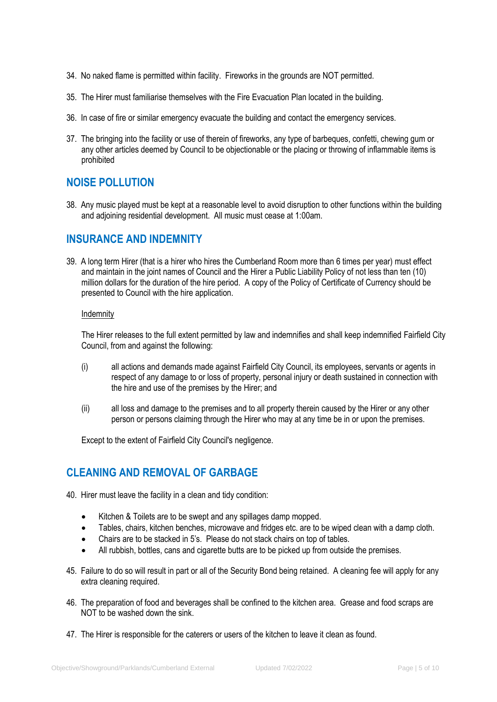- 34. No naked flame is permitted within facility. Fireworks in the grounds are NOT permitted.
- 35. The Hirer must familiarise themselves with the Fire Evacuation Plan located in the building.
- 36. In case of fire or similar emergency evacuate the building and contact the emergency services.
- 37. The bringing into the facility or use of therein of fireworks, any type of barbeques, confetti, chewing gum or any other articles deemed by Council to be objectionable or the placing or throwing of inflammable items is prohibited

### **NOISE POLLUTION**

38. Any music played must be kept at a reasonable level to avoid disruption to other functions within the building and adjoining residential development. All music must cease at 1:00am.

### **INSURANCE AND INDEMNITY**

39. A long term Hirer (that is a hirer who hires the Cumberland Room more than 6 times per year) must effect and maintain in the joint names of Council and the Hirer a Public Liability Policy of not less than ten (10) million dollars for the duration of the hire period. A copy of the Policy of Certificate of Currency should be presented to Council with the hire application.

#### Indemnity

The Hirer releases to the full extent permitted by law and indemnifies and shall keep indemnified Fairfield City Council, from and against the following:

- (i) all actions and demands made against Fairfield City Council, its employees, servants or agents in respect of any damage to or loss of property, personal injury or death sustained in connection with the hire and use of the premises by the Hirer; and
- (ii) all loss and damage to the premises and to all property therein caused by the Hirer or any other person or persons claiming through the Hirer who may at any time be in or upon the premises.

Except to the extent of Fairfield City Council's negligence.

### **CLEANING AND REMOVAL OF GARBAGE**

- 40. Hirer must leave the facility in a clean and tidy condition:
	- Kitchen & Toilets are to be swept and any spillages damp mopped.
	- Tables, chairs, kitchen benches, microwave and fridges etc. are to be wiped clean with a damp cloth.
	- Chairs are to be stacked in 5's. Please do not stack chairs on top of tables.
	- All rubbish, bottles, cans and cigarette butts are to be picked up from outside the premises.
- 45. Failure to do so will result in part or all of the Security Bond being retained. A cleaning fee will apply for any extra cleaning required.
- 46. The preparation of food and beverages shall be confined to the kitchen area. Grease and food scraps are NOT to be washed down the sink.
- 47. The Hirer is responsible for the caterers or users of the kitchen to leave it clean as found.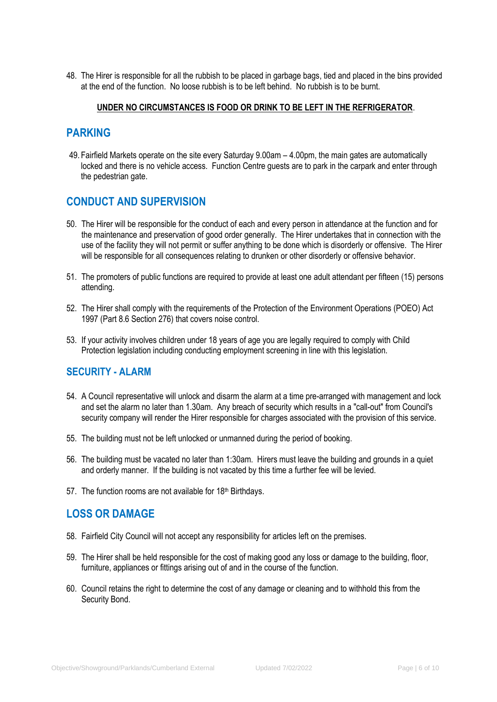48. The Hirer is responsible for all the rubbish to be placed in garbage bags, tied and placed in the bins provided at the end of the function. No loose rubbish is to be left behind. No rubbish is to be burnt.

#### **UNDER NO CIRCUMSTANCES IS FOOD OR DRINK TO BE LEFT IN THE REFRIGERATOR**.

### **PARKING**

49. Fairfield Markets operate on the site every Saturday 9.00am – 4.00pm, the main gates are automatically locked and there is no vehicle access. Function Centre guests are to park in the carpark and enter through the pedestrian gate.

### **CONDUCT AND SUPERVISION**

- 50. The Hirer will be responsible for the conduct of each and every person in attendance at the function and for the maintenance and preservation of good order generally. The Hirer undertakes that in connection with the use of the facility they will not permit or suffer anything to be done which is disorderly or offensive. The Hirer will be responsible for all consequences relating to drunken or other disorderly or offensive behavior.
- 51. The promoters of public functions are required to provide at least one adult attendant per fifteen (15) persons attending.
- 52. The Hirer shall comply with the requirements of the Protection of the Environment Operations (POEO) Act 1997 (Part 8.6 Section 276) that covers noise control.
- 53. If your activity involves children under 18 years of age you are legally required to comply with Child Protection legislation including conducting employment screening in line with this legislation.

### **SECURITY - ALARM**

- 54. A Council representative will unlock and disarm the alarm at a time pre-arranged with management and lock and set the alarm no later than 1.30am. Any breach of security which results in a "call-out" from Council's security company will render the Hirer responsible for charges associated with the provision of this service.
- 55. The building must not be left unlocked or unmanned during the period of booking.
- 56. The building must be vacated no later than 1:30am. Hirers must leave the building and grounds in a quiet and orderly manner. If the building is not vacated by this time a further fee will be levied.
- 57. The function rooms are not available for 18<sup>th</sup> Birthdays.

### **LOSS OR DAMAGE**

- 58. Fairfield City Council will not accept any responsibility for articles left on the premises.
- 59. The Hirer shall be held responsible for the cost of making good any loss or damage to the building, floor, furniture, appliances or fittings arising out of and in the course of the function.
- 60. Council retains the right to determine the cost of any damage or cleaning and to withhold this from the Security Bond.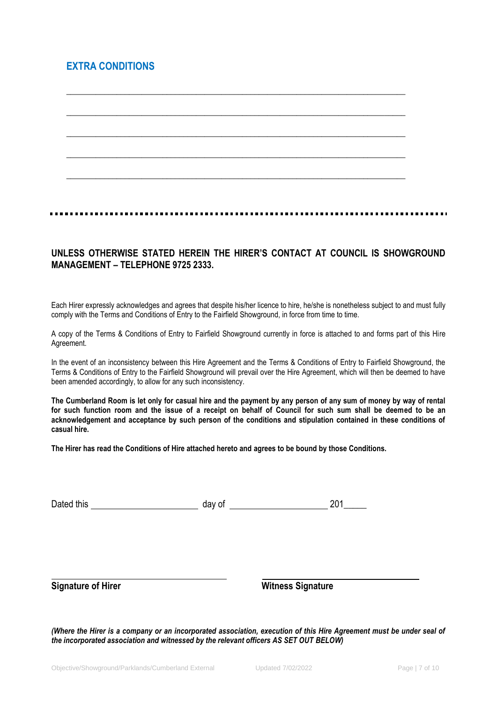### **EXTRA CONDITIONS**



\_\_\_\_\_\_\_\_\_\_\_\_\_\_\_\_\_\_\_\_\_\_\_\_\_\_\_\_\_\_\_\_\_\_\_\_\_\_\_\_\_\_\_\_\_\_\_\_\_\_\_\_\_\_\_\_\_\_\_\_\_\_\_\_\_\_\_\_\_\_\_\_\_\_\_\_\_\_\_\_\_

#### **UNLESS OTHERWISE STATED HEREIN THE HIRER'S CONTACT AT COUNCIL IS SHOWGROUND MANAGEMENT – TELEPHONE 9725 2333.**

Each Hirer expressly acknowledges and agrees that despite his/her licence to hire, he/she is nonetheless subject to and must fully comply with the Terms and Conditions of Entry to the Fairfield Showground, in force from time to time.

A copy of the Terms & Conditions of Entry to Fairfield Showground currently in force is attached to and forms part of this Hire Agreement.

In the event of an inconsistency between this Hire Agreement and the Terms & Conditions of Entry to Fairfield Showground, the Terms & Conditions of Entry to the Fairfield Showground will prevail over the Hire Agreement, which will then be deemed to have been amended accordingly, to allow for any such inconsistency.

**The Cumberland Room is let only for casual hire and the payment by any person of any sum of money by way of rental for such function room and the issue of a receipt on behalf of Council for such sum shall be deemed to be an acknowledgement and acceptance by such person of the conditions and stipulation contained in these conditions of casual hire.**

**The Hirer has read the Conditions of Hire attached hereto and agrees to be bound by those Conditions.**

| Dated this | day of | 201<br>- 1- |
|------------|--------|-------------|
|            |        |             |

**Signature of Hirer Witness Signature** Witness Signature

*(Where the Hirer is a company or an incorporated association, execution of this Hire Agreement must be under seal of the incorporated association and witnessed by the relevant officers AS SET OUT BELOW)*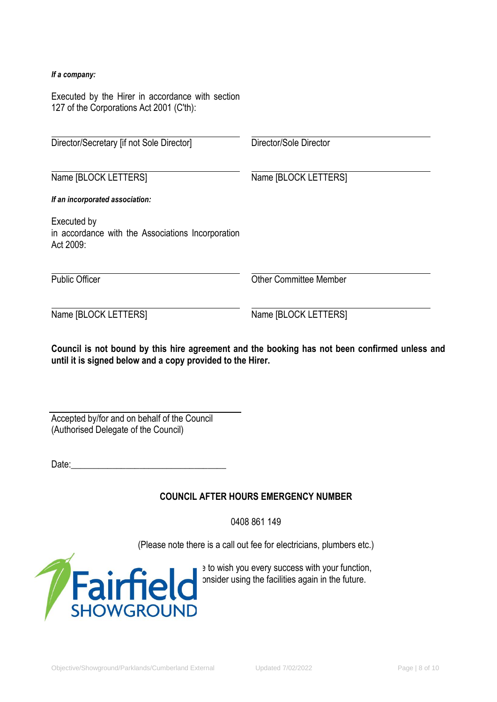#### *If a company:*

Executed by the Hirer in accordance with section 127 of the Corporations Act 2001 (C'th):

| Director/Secretary [if not Sole Director]                                     | Director/Sole Director        |
|-------------------------------------------------------------------------------|-------------------------------|
| Name [BLOCK LETTERS]                                                          | Name [BLOCK LETTERS]          |
| If an incorporated association:                                               |                               |
| Executed by<br>in accordance with the Associations Incorporation<br>Act 2009: |                               |
| <b>Public Officer</b>                                                         | <b>Other Committee Member</b> |
| Name [BLOCK LETTERS]                                                          | Name [BLOCK LETTERS]          |

**Council is not bound by this hire agreement and the booking has not been confirmed unless and until it is signed below and a copy provided to the Hirer.**

Accepted by/for and on behalf of the Council (Authorised Delegate of the Council)

Date:\_\_\_\_\_\_\_\_\_\_\_\_\_\_\_\_\_\_\_\_\_\_\_\_\_\_\_\_\_\_\_\_\_\_

### **COUNCIL AFTER HOURS EMERGENCY NUMBER**

0408 861 149

(Please note there is a call out fee for electricians, plumbers etc.)



 $\blacksquare$   $\blacksquare$   $\blacksquare$   $\blacksquare$   $\blacksquare$  to wish you every success with your function,  $\Box$  and hope variage the facilities again in the future.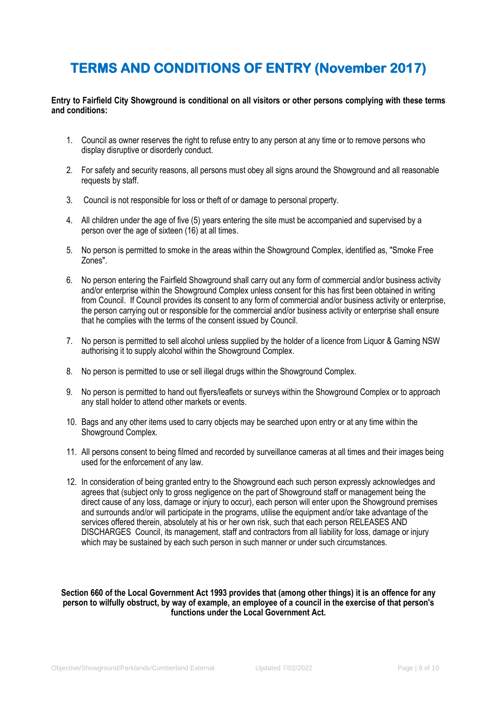# **TERMS AND CONDITIONS OF ENTRY (November 2017)**

**Entry to Fairfield City Showground is conditional on all visitors or other persons complying with these terms and conditions:**

- 1. Council as owner reserves the right to refuse entry to any person at any time or to remove persons who display disruptive or disorderly conduct.
- 2. For safety and security reasons, all persons must obey all signs around the Showground and all reasonable requests by staff.
- 3. Council is not responsible for loss or theft of or damage to personal property.
- 4. All children under the age of five (5) years entering the site must be accompanied and supervised by a person over the age of sixteen (16) at all times.
- 5. No person is permitted to smoke in the areas within the Showground Complex, identified as, "Smoke Free Zones".
- 6. No person entering the Fairfield Showground shall carry out any form of commercial and/or business activity and/or enterprise within the Showground Complex unless consent for this has first been obtained in writing from Council. If Council provides its consent to any form of commercial and/or business activity or enterprise, the person carrying out or responsible for the commercial and/or business activity or enterprise shall ensure that he complies with the terms of the consent issued by Council.
- 7. No person is permitted to sell alcohol unless supplied by the holder of a licence from Liquor & Gaming NSW authorising it to supply alcohol within the Showground Complex.
- 8. No person is permitted to use or sell illegal drugs within the Showground Complex.
- 9. No person is permitted to hand out flyers/leaflets or surveys within the Showground Complex or to approach any stall holder to attend other markets or events.
- 10. Bags and any other items used to carry objects may be searched upon entry or at any time within the Showground Complex.
- 11. All persons consent to being filmed and recorded by surveillance cameras at all times and their images being used for the enforcement of any law.
- 12. In consideration of being granted entry to the Showground each such person expressly acknowledges and agrees that (subject only to gross negligence on the part of Showground staff or management being the direct cause of any loss, damage or injury to occur), each person will enter upon the Showground premises and surrounds and/or will participate in the programs, utilise the equipment and/or take advantage of the services offered therein, absolutely at his or her own risk, such that each person RELEASES AND DISCHARGES Council, its management, staff and contractors from all liability for loss, damage or injury which may be sustained by each such person in such manner or under such circumstances.

#### **Section 660 of the Local Government Act 1993 provides that (among other things) it is an offence for any person to wilfully obstruct, by way of example, an employee of a council in the exercise of that person's functions under the Local Government Act.**